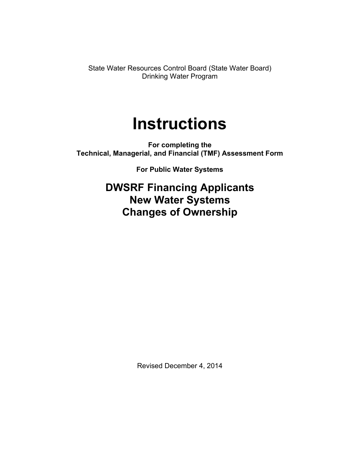State Water Resources Control Board (State Water Board) Drinking Water Program

# **Instructions**

**For completing the Technical, Managerial, and Financial (TMF) Assessment Form**

**For Public Water Systems**

**DWSRF Financing Applicants New Water Systems Changes of Ownership**

Revised December 4, 2014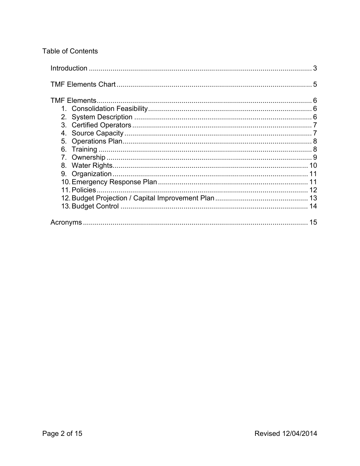# **Table of Contents**

|    | 3 |
|----|---|
|    |   |
|    |   |
|    |   |
|    |   |
|    |   |
|    |   |
| 5. |   |
|    |   |
|    |   |
| 8. |   |
|    |   |
|    |   |
|    |   |
|    |   |
|    |   |
|    |   |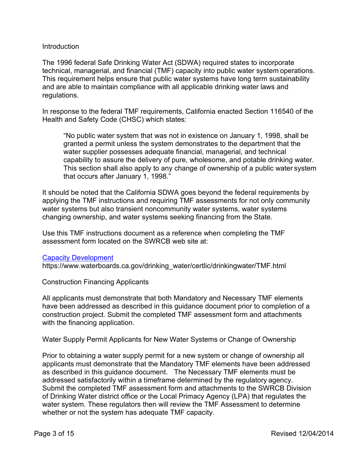# <span id="page-2-0"></span>**Introduction**

The 1996 federal Safe Drinking Water Act (SDWA) required states to incorporate technical, managerial, and financial (TMF) capacity into public water system operations. This requirement helps ensure that public water systems have long term sustainability and are able to maintain compliance with all applicable drinking water laws and regulations.

In response to the federal TMF requirements, California enacted Section 116540 of the Health and Safety Code (CHSC) which states:

"No public water system that was not in existence on January 1, 1998, shall be granted a permit unless the system demonstrates to the department that the water supplier possesses adequate financial, managerial, and technical capability to assure the delivery of pure, wholesome, and potable drinking water. This section shall also apply to any change of ownership of a public water system that occurs after January 1, 1998."

It should be noted that the California SDWA goes beyond the federal requirements by applying the TMF instructions and requiring TMF assessments for not only community water systems but also transient noncommunity water systems, water systems changing ownership, and water systems seeking financing from the State.

Use this TMF instructions document as a reference when completing the TMF assessment form located on the SWRCB web site at:

#### [Capacity Development](https://www.waterboards.ca.gov/drinking_water/certlic/drinkingwater/TMF.html)

https://www.waterboards.ca.gov/drinking\_water/certlic/drinkingwater/TMF.html

Construction Financing Applicants

All applicants must demonstrate that both Mandatory and Necessary TMF elements have been addressed as described in this guidance document prior to completion of a construction project. Submit the completed TMF assessment form and attachments with the financing application.

Water Supply Permit Applicants for New Water Systems or Change of Ownership

Prior to obtaining a water supply permit for a new system or change of ownership all applicants must demonstrate that the Mandatory TMF elements have been addressed as described in this guidance document. The Necessary TMF elements must be addressed satisfactorily within a timeframe determined by the regulatory agency. Submit the completed TMF assessment form and attachments to the SWRCB Division of Drinking Water district office or the Local Primacy Agency (LPA) that regulates the water system. These regulators then will review the TMF Assessment to determine whether or not the system has adequate TMF capacity.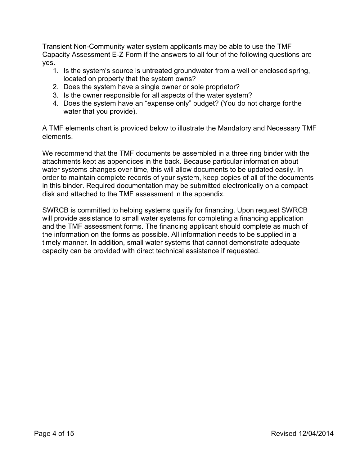Transient Non-Community water system applicants may be able to use the TMF Capacity Assessment E-Z Form if the answers to all four of the following questions are yes.

- 1. Is the system's source is untreated groundwater from a well or enclosed spring, located on property that the system owns?
- 2. Does the system have a single owner or sole proprietor?
- 3. Is the owner responsible for all aspects of the water system?
- 4. Does the system have an "expense only" budget? (You do not charge forthe water that you provide).

A TMF elements chart is provided below to illustrate the Mandatory and Necessary TMF elements.

We recommend that the TMF documents be assembled in a three ring binder with the attachments kept as appendices in the back. Because particular information about water systems changes over time, this will allow documents to be updated easily. In order to maintain complete records of your system, keep copies of all of the documents in this binder. Required documentation may be submitted electronically on a compact disk and attached to the TMF assessment in the appendix.

SWRCB is committed to helping systems qualify for financing. Upon request SWRCB will provide assistance to small water systems for completing a financing application and the TMF assessment forms. The financing applicant should complete as much of the information on the forms as possible. All information needs to be supplied in a timely manner. In addition, small water systems that cannot demonstrate adequate capacity can be provided with direct technical assistance if requested.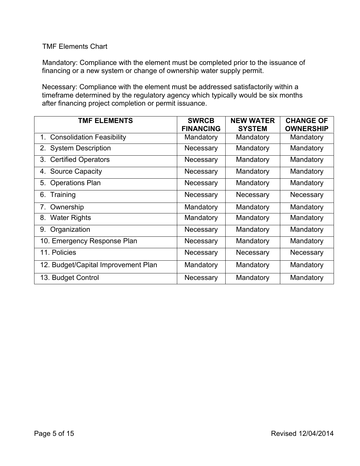# <span id="page-4-0"></span>TMF Elements Chart

Mandatory: Compliance with the element must be completed prior to the issuance of financing or a new system or change of ownership water supply permit.

Necessary: Compliance with the element must be addressed satisfactorily within a timeframe determined by the regulatory agency which typically would be six months after financing project completion or permit issuance.

| <b>TMF ELEMENTS</b>                    | <b>SWRCB</b><br><b>FINANCING</b> | <b>NEW WATER</b><br><b>SYSTEM</b> | <b>CHANGE OF</b><br><b>OWNERSHIP</b> |
|----------------------------------------|----------------------------------|-----------------------------------|--------------------------------------|
| <b>Consolidation Feasibility</b><br>1. | Mandatory                        | Mandatory                         | Mandatory                            |
| <b>System Description</b><br>2.        | Necessary                        | Mandatory                         | Mandatory                            |
| <b>Certified Operators</b><br>3.       | Necessary                        | Mandatory                         | Mandatory                            |
| <b>Source Capacity</b><br>4.           | Necessary                        | Mandatory                         | Mandatory                            |
| <b>Operations Plan</b><br>5.           | Necessary                        | Mandatory                         | Mandatory                            |
| Training<br>6.                         | Necessary                        | Necessary                         | Necessary                            |
| Ownership<br>7.                        | Mandatory                        | Mandatory                         | Mandatory                            |
| <b>Water Rights</b><br>8.              | Mandatory                        | Mandatory                         | Mandatory                            |
| Organization<br>9.                     | Necessary                        | Mandatory                         | Mandatory                            |
| 10. Emergency Response Plan            | Necessary                        | Mandatory                         | Mandatory                            |
| 11. Policies                           | Necessary                        | Necessary                         | Necessary                            |
| 12. Budget/Capital Improvement Plan    | Mandatory                        | Mandatory                         | Mandatory                            |
| 13. Budget Control                     | Necessary                        | Mandatory                         | Mandatory                            |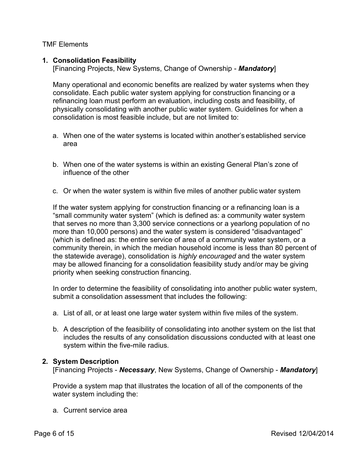<span id="page-5-0"></span>TMF Elements

# <span id="page-5-1"></span>**1. Consolidation Feasibility**

[Financing Projects, New Systems, Change of Ownership - *Mandatory*]

Many operational and economic benefits are realized by water systems when they consolidate. Each public water system applying for construction financing or a refinancing loan must perform an evaluation, including costs and feasibility, of physically consolidating with another public water system. Guidelines for when a consolidation is most feasible include, but are not limited to:

- a. When one of the water systems is located within another's established service area
- b. When one of the water systems is within an existing General Plan's zone of influence of the other
- c. Or when the water system is within five miles of another public water system

If the water system applying for construction financing or a refinancing loan is a "small community water system" (which is defined as: a community water system that serves no more than 3,300 service connections or a yearlong population of no more than 10,000 persons) and the water system is considered "disadvantaged" (which is defined as: the entire service of area of a community water system, or a community therein, in which the median household income is less than 80 percent of the statewide average), consolidation is *highly encouraged* and the water system may be allowed financing for a consolidation feasibility study and/or may be giving priority when seeking construction financing.

In order to determine the feasibility of consolidating into another public water system, submit a consolidation assessment that includes the following:

- a. List of all, or at least one large water system within five miles of the system.
- b. A description of the feasibility of consolidating into another system on the list that includes the results of any consolidation discussions conducted with at least one system within the five-mile radius.

# <span id="page-5-2"></span>**2. System Description**

[Financing Projects - *Necessary*, New Systems, Change of Ownership - *Mandatory*]

Provide a system map that illustrates the location of all of the components of the water system including the:

a. Current service area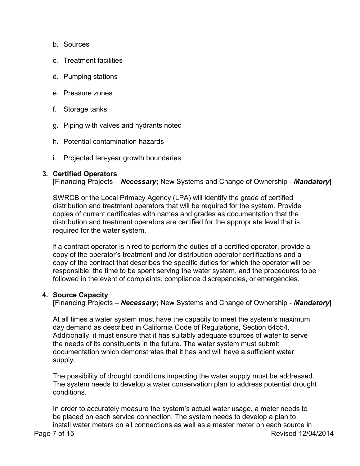- b. Sources
- c. Treatment facilities
- d. Pumping stations
- e. Pressure zones
- f. Storage tanks
- g. Piping with valves and hydrants noted
- h. Potential contamination hazards
- i. Projected ten-year growth boundaries

# <span id="page-6-0"></span>**3. Certified Operators**

[Financing Projects – *Necessary***;** New Systems and Change of Ownership - *Mandatory*]

SWRCB or the Local Primacy Agency (LPA) will identify the grade of certified distribution and treatment operators that will be required for the system. Provide copies of current certificates with names and grades as documentation that the distribution and treatment operators are certified for the appropriate level that is required for the water system.

If a contract operator is hired to perform the duties of a certified operator, provide a copy of the operator's treatment and /or distribution operator certifications and a copy of the contract that describes the specific duties for which the operator will be responsible, the time to be spent serving the water system, and the procedures to be followed in the event of complaints, compliance discrepancies, or emergencies.

# <span id="page-6-1"></span>**4. Source Capacity**

[Financing Projects – *Necessary***;** New Systems and Change of Ownership - *Mandatory*]

At all times a water system must have the capacity to meet the system's maximum day demand as described in California Code of Regulations, Section 64554. Additionally, it must ensure that it has suitably adequate sources of water to serve the needs of its constituents in the future. The water system must submit documentation which demonstrates that it has and will have a sufficient water supply.

The possibility of drought conditions impacting the water supply must be addressed. The system needs to develop a water conservation plan to address potential drought conditions.

Page 7 of 15 **Page 7** of 15 In order to accurately measure the system's actual water usage, a meter needs to be placed on each service connection. The system needs to develop a plan to install water meters on all connections as well as a master meter on each source in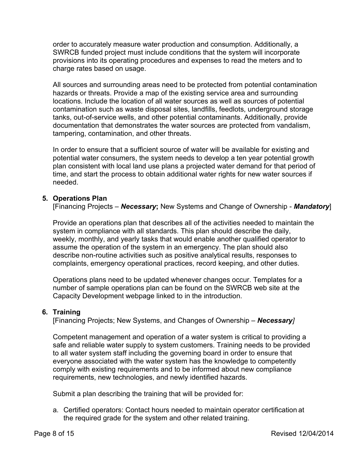order to accurately measure water production and consumption. Additionally, a SWRCB funded project must include conditions that the system will incorporate provisions into its operating procedures and expenses to read the meters and to charge rates based on usage.

All sources and surrounding areas need to be protected from potential contamination hazards or threats. Provide a map of the existing service area and surrounding locations. Include the location of all water sources as well as sources of potential contamination such as waste disposal sites, landfills, feedlots, underground storage tanks, out-of-service wells, and other potential contaminants. Additionally, provide documentation that demonstrates the water sources are protected from vandalism, tampering, contamination, and other threats.

In order to ensure that a sufficient source of water will be available for existing and potential water consumers, the system needs to develop a ten year potential growth plan consistent with local land use plans a projected water demand for that period of time, and start the process to obtain additional water rights for new water sources if needed.

# <span id="page-7-0"></span>**5. Operations Plan**

[Financing Projects – *Necessary***;** New Systems and Change of Ownership - *Mandatory*]

Provide an operations plan that describes all of the activities needed to maintain the system in compliance with all standards. This plan should describe the daily, weekly, monthly, and yearly tasks that would enable another qualified operator to assume the operation of the system in an emergency. The plan should also describe non-routine activities such as positive analytical results, responses to complaints, emergency operational practices, record keeping, and other duties.

Operations plans need to be updated whenever changes occur. Templates for a number of sample operations plan can be found on the SWRCB web site at the Capacity Development webpage linked to in the introduction.

# <span id="page-7-1"></span>**6. Training**

[Financing Projects; New Systems, and Changes of Ownership – *Necessary]*

Competent management and operation of a water system is critical to providing a safe and reliable water supply to system customers. Training needs to be provided to all water system staff including the governing board in order to ensure that everyone associated with the water system has the knowledge to competently comply with existing requirements and to be informed about new compliance requirements, new technologies, and newly identified hazards.

Submit a plan describing the training that will be provided for:

a. Certified operators: Contact hours needed to maintain operator certification at the required grade for the system and other related training.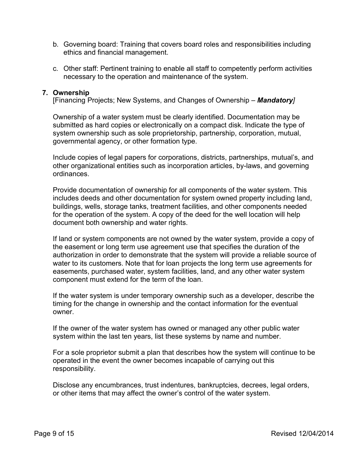- b. Governing board: Training that covers board roles and responsibilities including ethics and financial management.
- c. Other staff: Pertinent training to enable all staff to competently perform activities necessary to the operation and maintenance of the system.

### <span id="page-8-0"></span>**7. Ownership**

[Financing Projects; New Systems, and Changes of Ownership – *Mandatory]*

Ownership of a water system must be clearly identified. Documentation may be submitted as hard copies or electronically on a compact disk. Indicate the type of system ownership such as sole proprietorship, partnership, corporation, mutual, governmental agency, or other formation type.

Include copies of legal papers for corporations, districts, partnerships, mutual's, and other organizational entities such as incorporation articles, by-laws, and governing ordinances.

Provide documentation of ownership for all components of the water system. This includes deeds and other documentation for system owned property including land, buildings, wells, storage tanks, treatment facilities, and other components needed for the operation of the system. A copy of the deed for the well location will help document both ownership and water rights.

If land or system components are not owned by the water system, provide a copy of the easement or long term use agreement use that specifies the duration of the authorization in order to demonstrate that the system will provide a reliable source of water to its customers. Note that for loan projects the long term use agreements for easements, purchased water, system facilities, land, and any other water system component must extend for the term of the loan.

If the water system is under temporary ownership such as a developer, describe the timing for the change in ownership and the contact information for the eventual owner.

If the owner of the water system has owned or managed any other public water system within the last ten years, list these systems by name and number.

For a sole proprietor submit a plan that describes how the system will continue to be operated in the event the owner becomes incapable of carrying out this responsibility.

Disclose any encumbrances, trust indentures, bankruptcies, decrees, legal orders, or other items that may affect the owner's control of the water system.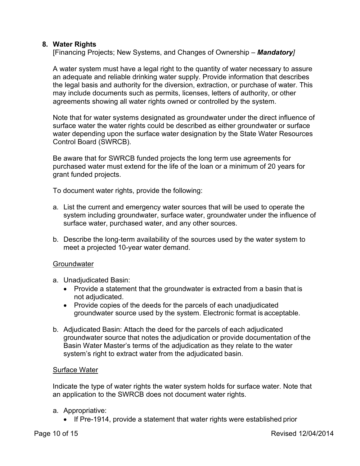# <span id="page-9-0"></span>**8. Water Rights**

[Financing Projects; New Systems, and Changes of Ownership – *Mandatory]*

A water system must have a legal right to the quantity of water necessary to assure an adequate and reliable drinking water supply. Provide information that describes the legal basis and authority for the diversion, extraction, or purchase of water. This may include documents such as permits, licenses, letters of authority, or other agreements showing all water rights owned or controlled by the system.

Note that for water systems designated as groundwater under the direct influence of surface water the water rights could be described as either groundwater or surface water depending upon the surface water designation by the State Water Resources Control Board (SWRCB).

Be aware that for SWRCB funded projects the long term use agreements for purchased water must extend for the life of the loan or a minimum of 20 years for grant funded projects.

To document water rights, provide the following:

- a. List the current and emergency water sources that will be used to operate the system including groundwater, surface water, groundwater under the influence of surface water, purchased water, and any other sources.
- b. Describe the long-term availability of the sources used by the water system to meet a projected 10-year water demand.

#### **Groundwater**

- a. Unadjudicated Basin:
	- · Provide a statement that the groundwater is extracted from a basin that is not adjudicated.
	- · Provide copies of the deeds for the parcels of each unadjudicated groundwater source used by the system. Electronic format is acceptable.
- b. Adjudicated Basin: Attach the deed for the parcels of each adjudicated groundwater source that notes the adjudication or provide documentation of the Basin Water Master's terms of the adjudication as they relate to the water system's right to extract water from the adjudicated basin.

#### Surface Water

Indicate the type of water rights the water system holds for surface water. Note that an application to the SWRCB does not document water rights.

#### a. Appropriative:

• If Pre-1914, provide a statement that water rights were established prior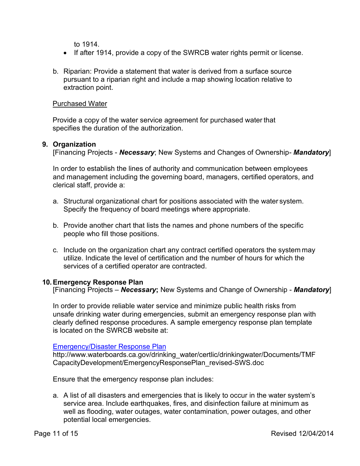to 1914.

- · If after 1914, provide a copy of the SWRCB water rights permit or license.
- b. Riparian: Provide a statement that water is derived from a surface source pursuant to a riparian right and include a map showing location relative to extraction point.

# Purchased Water

Provide a copy of the water service agreement for purchased water that specifies the duration of the authorization.

### <span id="page-10-0"></span>**9. Organization**

[Financing Projects - *Necessary*; New Systems and Changes of Ownership*- Mandatory*]

In order to establish the lines of authority and communication between employees and management including the governing board, managers, certified operators, and clerical staff, provide a:

- a. Structural organizational chart for positions associated with the water system. Specify the frequency of board meetings where appropriate.
- b. Provide another chart that lists the names and phone numbers of the specific people who fill those positions.
- c. Include on the organization chart any contract certified operators the system may utilize. Indicate the level of certification and the number of hours for which the services of a certified operator are contracted.

#### <span id="page-10-1"></span>**10.Emergency Response Plan**

[Financing Projects – *Necessary***;** New Systems and Change of Ownership - *Mandatory*]

In order to provide reliable water service and minimize public health risks from unsafe drinking water during emergencies, submit an emergency response plan with clearly defined response procedures. A sample emergency response plan template is located on the SWRCB website at:

#### [Emergency/Disaster Response Plan](http://www.waterboards.ca.gov/drinking_water/certlic/drinkingwater/Documents/TMFCapacityDevelopment/EmergencyResponsePlan_revised-SWS.doc)

http://www.waterboards.ca.gov/drinking\_water/certlic/drinkingwater/Documents/TMF CapacityDevelopment/EmergencyResponsePlan\_revised-SWS.doc

Ensure that the emergency response plan includes:

a. A list of all disasters and emergencies that is likely to occur in the water system's service area. Include earthquakes, fires, and disinfection failure at minimum as well as flooding, water outages, water contamination, power outages, and other potential local emergencies.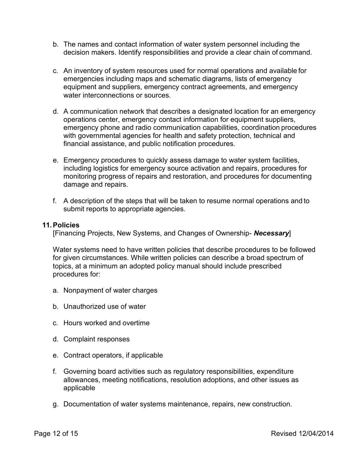- b. The names and contact information of water system personnel including the decision makers. Identify responsibilities and provide a clear chain of command.
- c. An inventory of system resources used for normal operations and available for emergencies including maps and schematic diagrams, lists of emergency equipment and suppliers, emergency contract agreements, and emergency water interconnections or sources.
- d. A communication network that describes a designated location for an emergency operations center, emergency contact information for equipment suppliers, emergency phone and radio communication capabilities, coordination procedures with governmental agencies for health and safety protection, technical and financial assistance, and public notification procedures.
- e. Emergency procedures to quickly assess damage to water system facilities, including logistics for emergency source activation and repairs, procedures for monitoring progress of repairs and restoration, and procedures for documenting damage and repairs.
- f. A description of the steps that will be taken to resume normal operations and to submit reports to appropriate agencies.

#### <span id="page-11-0"></span>**11.Policies**

[Financing Projects, New Systems, and Changes of Ownership- *Necessary*]

Water systems need to have written policies that describe procedures to be followed for given circumstances. While written policies can describe a broad spectrum of topics, at a minimum an adopted policy manual should include prescribed procedures for:

- a. Nonpayment of water charges
- b. Unauthorized use of water
- c. Hours worked and overtime
- d. Complaint responses
- e. Contract operators, if applicable
- f. Governing board activities such as regulatory responsibilities, expenditure allowances, meeting notifications, resolution adoptions, and other issues as applicable
- g. Documentation of water systems maintenance, repairs, new construction.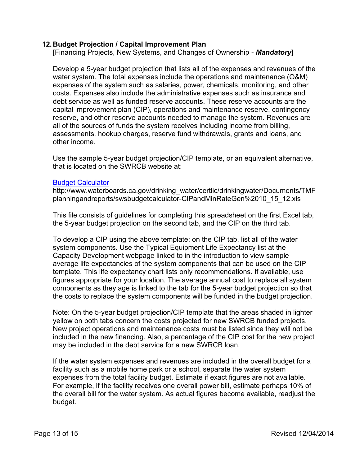# <span id="page-12-0"></span>**12. Budget Projection / Capital Improvement Plan**

[Financing Projects, New Systems, and Changes of Ownership - *Mandatory*]

Develop a 5-year budget projection that lists all of the expenses and revenues of the water system. The total expenses include the operations and maintenance (O&M) expenses of the system such as salaries, power, chemicals, monitoring, and other costs. Expenses also include the administrative expenses such as insurance and debt service as well as funded reserve accounts. These reserve accounts are the capital improvement plan (CIP), operations and maintenance reserve, contingency reserve, and other reserve accounts needed to manage the system. Revenues are all of the sources of funds the system receives including income from billing, assessments, hookup charges, reserve fund withdrawals, grants and loans, and other income.

Use the sample 5-year budget projection/CIP template, or an equivalent alternative, that is located on the SWRCB website at:

#### [Budget Calculator](http://www.waterboards.ca.gov/drinking_water/certlic/drinkingwater/Documents/TMFplanningandreports/swsbudgetcalculator-CIPandMinRateGen 10_15_12.xls)

http://www.waterboards.ca.gov/drinking\_water/certlic/drinkingwater/Documents/TMF planningandreports/swsbudgetcalculator-CIPandMinRateGen%2010\_15\_12.xls

This file consists of guidelines for completing this spreadsheet on the first Excel tab, the 5-year budget projection on the second tab, and the CIP on the third tab.

To develop a CIP using the above template: on the CIP tab, list all of the water system components. Use the Typical Equipment Life Expectancy list at the Capacity Development webpage linked to in the introduction to view sample average life expectancies of the system components that can be used on the CIP template. This life expectancy chart lists only recommendations. If available, use figures appropriate for your location. The average annual cost to replace all system components as they age is linked to the tab for the 5-year budget projection so that the costs to replace the system components will be funded in the budget projection.

Note: On the 5-year budget projection/CIP template that the areas shaded in lighter yellow on both tabs concern the costs projected for new SWRCB funded projects. New project operations and maintenance costs must be listed since they will not be included in the new financing. Also, a percentage of the CIP cost for the new project may be included in the debt service for a new SWRCB loan.

If the water system expenses and revenues are included in the overall budget for a facility such as a mobile home park or a school, separate the water system expenses from the total facility budget. Estimate if exact figures are not available. For example, if the facility receives one overall power bill, estimate perhaps 10% of the overall bill for the water system. As actual figures become available, readjust the budget.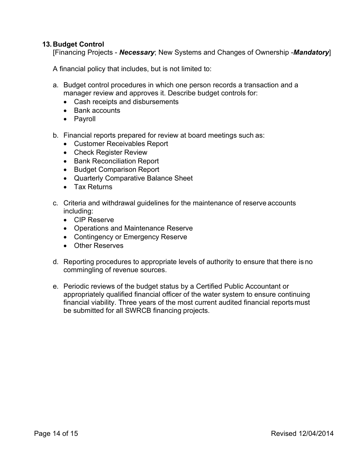# <span id="page-13-0"></span>**13. Budget Control**

[Financing Projects - *Necessary*; New Systems and Changes of Ownership -*Mandatory*]

A financial policy that includes, but is not limited to:

- a. Budget control procedures in which one person records a transaction and a manager review and approves it. Describe budget controls for:
	- · Cash receipts and disbursements
	- · Bank accounts
	- · Payroll
- b. Financial reports prepared for review at board meetings such as:
	- · Customer Receivables Report
	- · Check Register Review
	- · Bank Reconciliation Report
	- · Budget Comparison Report
	- · Quarterly Comparative Balance Sheet
	- · Tax Returns
- c. Criteria and withdrawal guidelines for the maintenance of reserve accounts including:
	- · CIP Reserve
	- · Operations and Maintenance Reserve
	- Contingency or Emergency Reserve
	- · Other Reserves
- d. Reporting procedures to appropriate levels of authority to ensure that there is no commingling of revenue sources.
- e. Periodic reviews of the budget status by a Certified Public Accountant or appropriately qualified financial officer of the water system to ensure continuing financial viability. Three years of the most current audited financial reports must be submitted for all SWRCB financing projects.